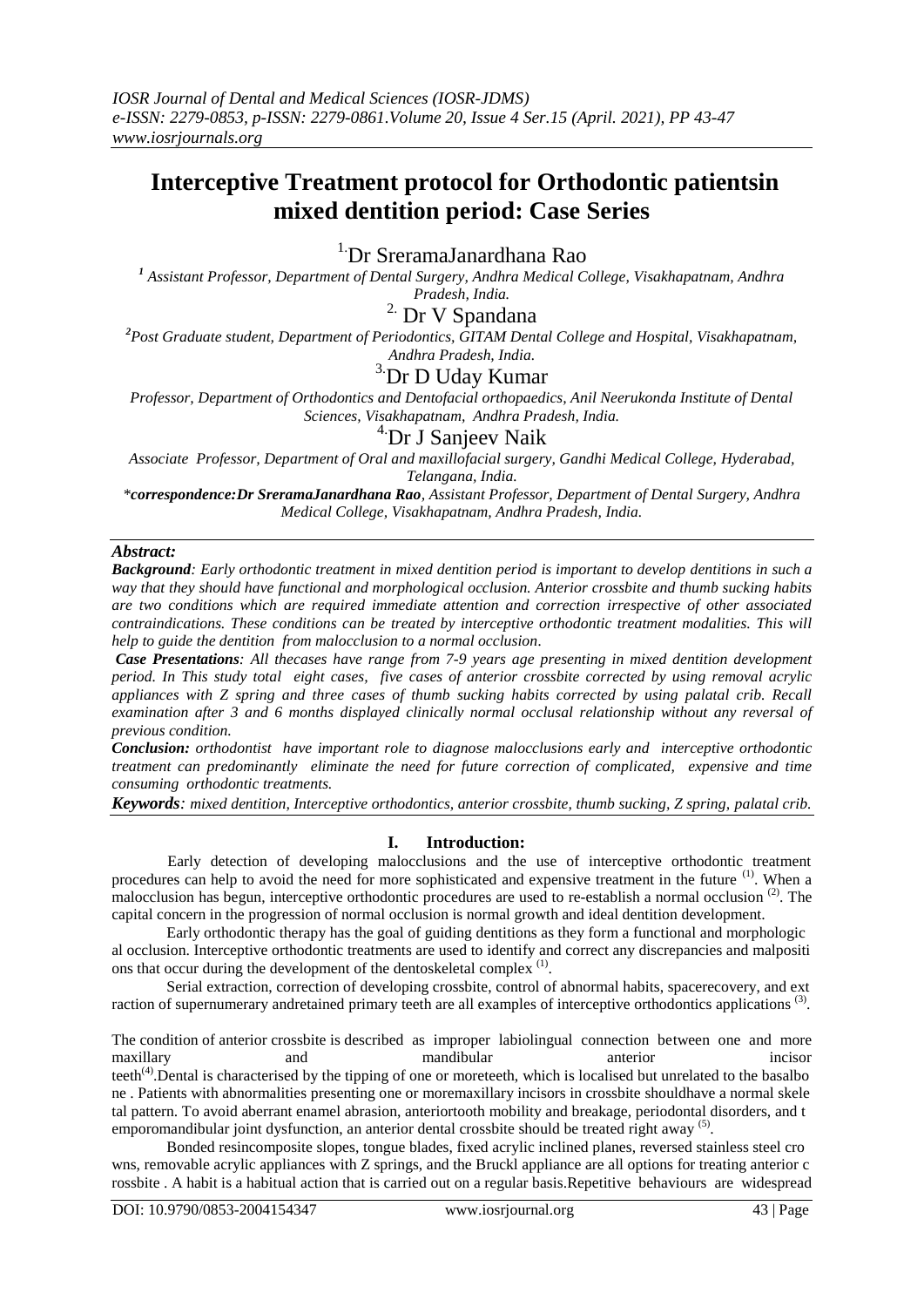# **Interceptive Treatment protocol for Orthodontic patientsin mixed dentition period: Case Series**

<sup>1.</sup>Dr SreramaJanardhana Rao

*<sup>1</sup> Assistant Professor, Department of Dental Surgery, Andhra Medical College, Visakhapatnam, Andhra Pradesh, India.*

 $^{\rm 2.}$  Dr V Spandana

*<sup>2</sup>Post Graduate student, Department of Periodontics, GITAM Dental College and Hospital, Visakhapatnam, Andhra Pradesh, India.*

# <sup>3.</sup>Dr D Uday Kumar

*Professor, Department of Orthodontics and Dentofacial orthopaedics, Anil Neerukonda Institute of Dental Sciences, Visakhapatnam, Andhra Pradesh, India.*

# 4.Dr J Sanjeev Naik

*Associate Professor, Department of Oral and maxillofacial surgery, Gandhi Medical College, Hyderabad, Telangana, India.*

*\*correspondence:Dr SreramaJanardhana Rao, Assistant Professor, Department of Dental Surgery, Andhra Medical College, Visakhapatnam, Andhra Pradesh, India.* 

## *Abstract:*

*Background: Early orthodontic treatment in mixed dentition period is important to develop dentitions in such a way that they should have functional and morphological occlusion. Anterior crossbite and thumb sucking habits are two conditions which are required immediate attention and correction irrespective of other associated contraindications. These conditions can be treated by interceptive orthodontic treatment modalities. This will help to guide the dentition from malocclusion to a normal occlusion.*

*Case Presentations: All thecases have range from 7-9 years age presenting in mixed dentition development period. In This study total eight cases, five cases of anterior crossbite corrected by using removal acrylic appliances with Z spring and three cases of thumb sucking habits corrected by using palatal crib. Recall examination after 3 and 6 months displayed clinically normal occlusal relationship without any reversal of previous condition.* 

*Conclusion: orthodontist have important role to diagnose malocclusions early and interceptive orthodontic treatment can predominantly eliminate the need for future correction of complicated, expensive and time consuming orthodontic treatments.* 

*Keywords: mixed dentition, Interceptive orthodontics, anterior crossbite, thumb sucking, Z spring, palatal crib.*

## **I. Introduction:**

Early detection of developing malocclusions and the use of interceptive orthodontic treatment procedures can help to avoid the need for more sophisticated and expensive treatment in the future <sup>(1)</sup>. When a malocclusion has begun, interceptive orthodontic procedures are used to re-establish a normal occlusion (2). The capital concern in the progression of normal occlusion is normal growth and ideal dentition development.

Early orthodontic therapy has the goal of guiding dentitions as they form a functional and morphologic al occlusion. Interceptive orthodontic treatments are used to identify and correct any discrepancies and malpositi ons that occur during the development of the dentoskeletal complex <sup>(1)</sup>.

Serial extraction, correction of developing crossbite, control of abnormal habits, spacerecovery, and ext raction of supernumerary andretained primary teeth are all examples of interceptive orthodontics applications<sup>(3)</sup>.

The condition of anterior crossbite is described as improper labiolingual connection between one and more maxillary and mandibular anterior incisor teeth<sup>(4)</sup>. Dental is characterised by the tipping of one or moreteeth, which is localised but unrelated to the basalbo ne . Patients with abnormalities presenting one or moremaxillary incisors in crossbite shouldhave a normal skele tal pattern. To avoid aberrant enamel abrasion, anteriortooth mobility and breakage, periodontal disorders, and t emporomandibular joint dysfunction, an anterior dental crossbite should be treated right away<sup>(5)</sup>.

Bonded resincomposite slopes, tongue blades, fixed acrylic inclined planes, reversed stainless steel cro wns, removable acrylic appliances with Z springs, and the Bruckl appliance are all options for treating anterior c rossbite . A habit is a habitual action that is carried out on a regular basis.Repetitive behaviours are widespread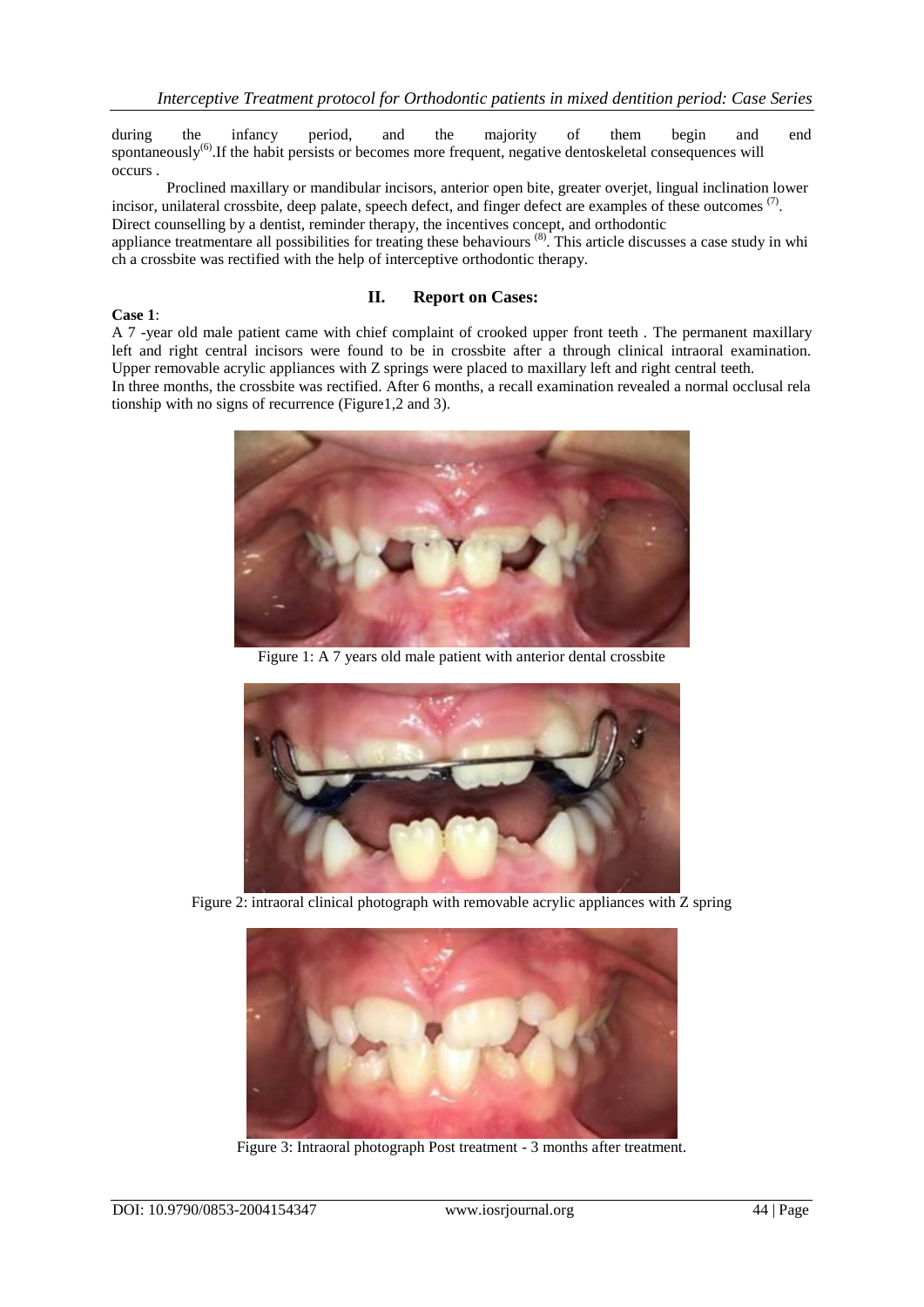during the infancy period, and the majority of them begin and end spontaneously<sup>(6)</sup>. If the habit persists or becomes more frequent, negative dentoskeletal consequences will occurs .

Proclined maxillary or mandibular incisors, anterior open bite, greater overjet, lingual inclination lower incisor, unilateral crossbite, deep palate, speech defect, and finger defect are examples of these outcomes  $(7)$ . Direct counselling by a dentist, reminder therapy, the incentives concept, and orthodontic appliance treatmentare all possibilities for treating these behaviours<sup>(8)</sup>. This article discusses a case study in whi ch a crossbite was rectified with the help of interceptive orthodontic therapy.

## **II. Report on Cases:**

#### **Case 1**:

A 7 -year old male patient came with chief complaint of crooked upper front teeth . The permanent maxillary left and right central incisors were found to be in crossbite after a through clinical intraoral examination.

Upper removable acrylic appliances with Z springs were placed to maxillary left and right central teeth. In three months, the crossbite was rectified. After 6 months, a recall examination revealed a normal occlusal rela tionship with no signs of recurrence (Figure1,2 and 3).



Figure 1: A 7 years old male patient with anterior dental crossbite



Figure 2: intraoral clinical photograph with removable acrylic appliances with Z spring



Figure 3: Intraoral photograph Post treatment - 3 months after treatment.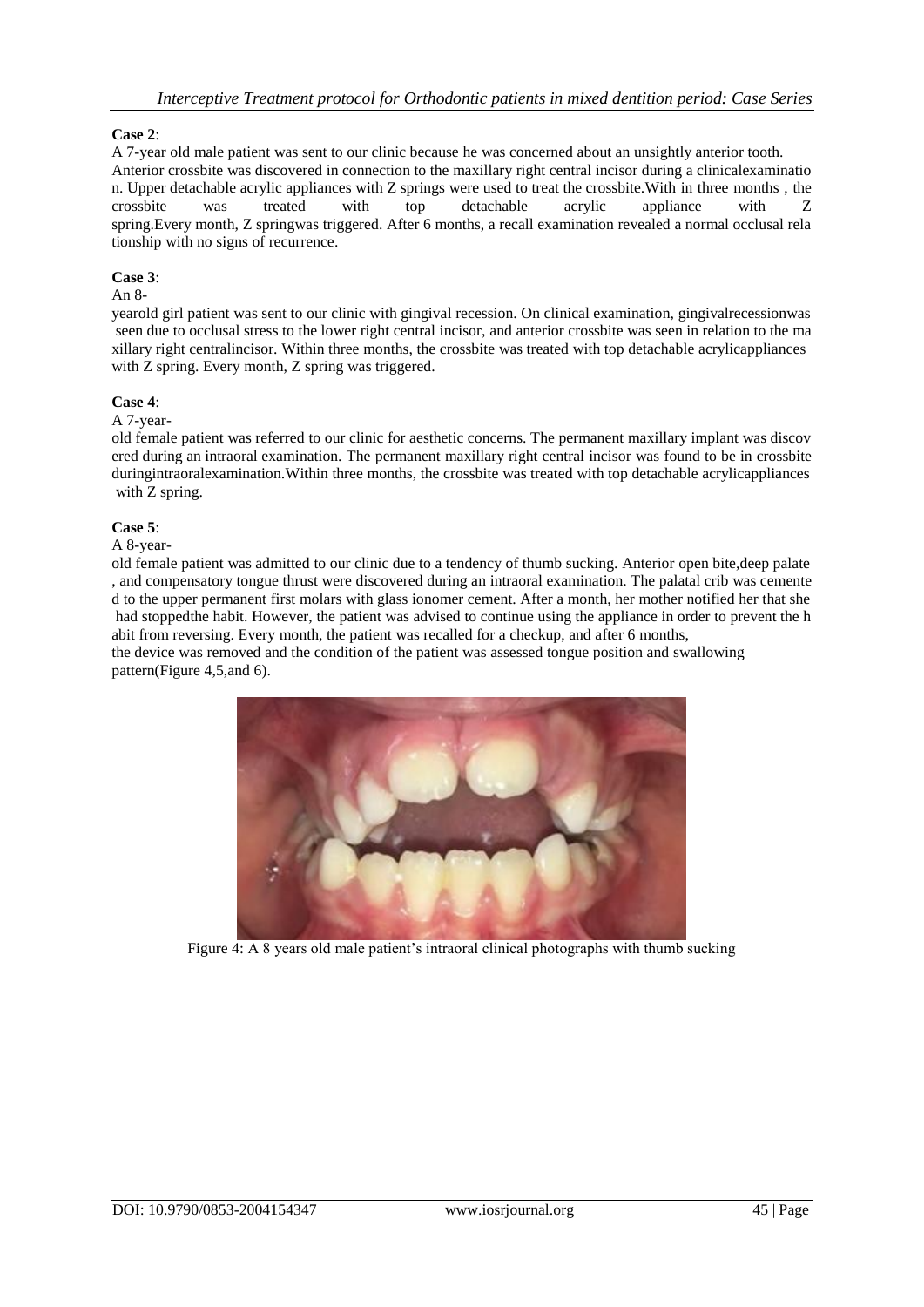# **Case 2**:

A 7-year old male patient was sent to our clinic because he was concerned about an unsightly anterior tooth. Anterior crossbite was discovered in connection to the maxillary right central incisor during a clinicalexaminatio n. Upper detachable acrylic appliances with Z springs were used to treat the crossbite.With in three months , the crossbite was treated with top detachable acrylic appliance with Z spring.Every month, Z springwas triggered. After 6 months, a recall examination revealed a normal occlusal rela tionship with no signs of recurrence.

# **Case 3**:

# An 8-

yearold girl patient was sent to our clinic with gingival recession. On clinical examination, gingivalrecessionwas seen due to occlusal stress to the lower right central incisor, and anterior crossbite was seen in relation to the ma xillary right centralincisor. Within three months, the crossbite was treated with top detachable acrylicappliances with Z spring. Every month, Z spring was triggered.

#### **Case 4**:

#### A 7-year-

old female patient was referred to our clinic for aesthetic concerns. The permanent maxillary implant was discov ered during an intraoral examination. The permanent maxillary right central incisor was found to be in crossbite duringintraoralexamination.Within three months, the crossbite was treated with top detachable acrylicappliances with Z spring.

#### **Case 5**:

A 8-year-

old female patient was admitted to our clinic due to a tendency of thumb sucking. Anterior open bite,deep palate , and compensatory tongue thrust were discovered during an intraoral examination. The palatal crib was cemente d to the upper permanent first molars with glass ionomer cement. After a month, her mother notified her that she had stoppedthe habit. However, the patient was advised to continue using the appliance in order to prevent the h abit from reversing. Every month, the patient was recalled for a checkup, and after 6 months,

the device was removed and the condition of the patient was assessed tongue position and swallowing pattern(Figure 4,5,and 6).



Figure 4: A 8 years old male patient's intraoral clinical photographs with thumb sucking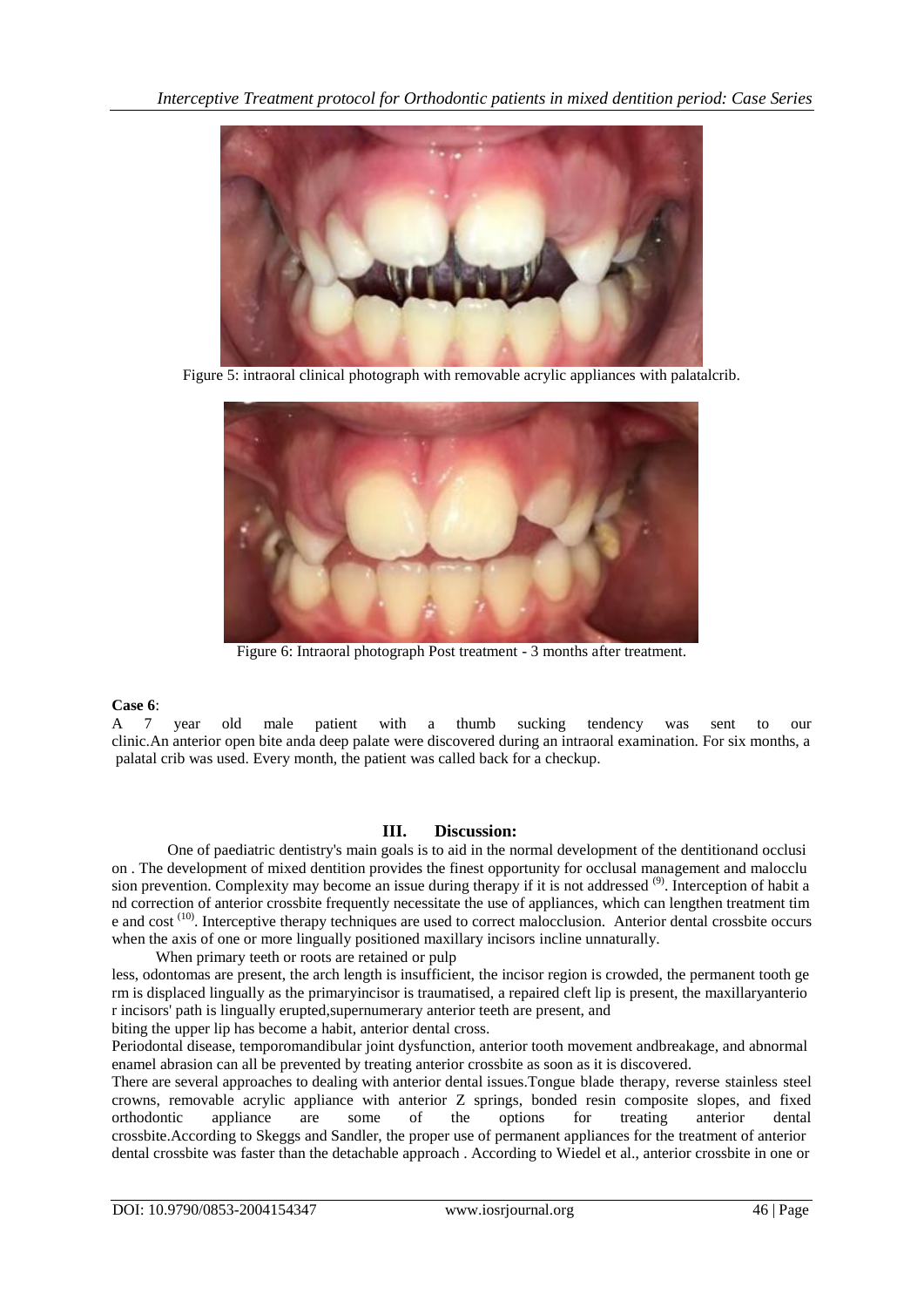

Figure 5: intraoral clinical photograph with removable acrylic appliances with palatalcrib.



Figure 6: Intraoral photograph Post treatment - 3 months after treatment.

# **Case 6**:

A 7 year old male patient with a thumb sucking tendency was sent to our clinic.An anterior open bite anda deep palate were discovered during an intraoral examination. For six months, a palatal crib was used. Every month, the patient was called back for a checkup.

# **III. Discussion:**

One of paediatric dentistry's main goals is to aid in the normal development of the dentitionand occlusi on . The development of mixed dentition provides the finest opportunity for occlusal management and malocclu sion prevention. Complexity may become an issue during therapy if it is not addressed <sup>(9)</sup>. Interception of habit a nd correction of anterior crossbite frequently necessitate the use of appliances, which can lengthen treatment tim e and cost<sup>(10)</sup>. Interceptive therapy techniques are used to correct malocclusion. Anterior dental crossbite occurs when the axis of one or more lingually positioned maxillary incisors incline unnaturally.

When primary teeth or roots are retained or pulp less, odontomas are present, the arch length is insufficient, the incisor region is crowded, the permanent tooth ge rm is displaced lingually as the primaryincisor is traumatised, a repaired cleft lip is present, the maxillaryanterio r incisors' path is lingually erupted,supernumerary anterior teeth are present, and

biting the upper lip has become a habit, anterior dental cross.

Periodontal disease, temporomandibular joint dysfunction, anterior tooth movement andbreakage, and abnormal enamel abrasion can all be prevented by treating anterior crossbite as soon as it is discovered.

There are several approaches to dealing with anterior dental issues.Tongue blade therapy, reverse stainless steel crowns, removable acrylic appliance with anterior Z springs, bonded resin composite slopes, and fixed orthodontic appliance are some of the options for treating anterior dental crossbite.According to Skeggs and Sandler, the proper use of permanent appliances for the treatment of anterior dental crossbite was faster than the detachable approach . According to Wiedel et al., anterior crossbite in one or